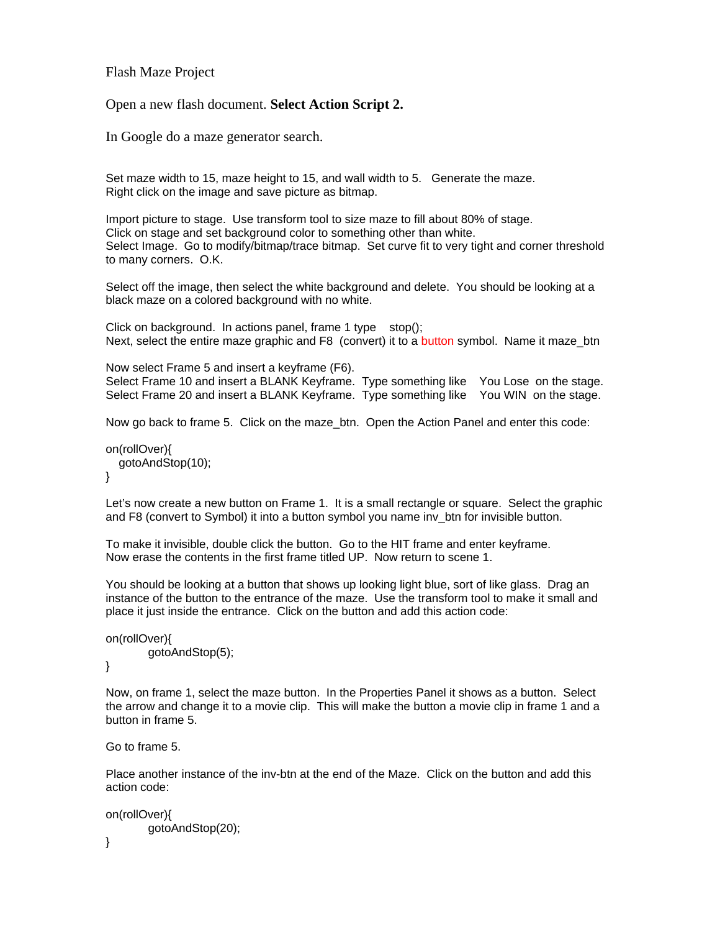Flash Maze Project

Open a new flash document. **Select Action Script 2.**

In Google do a maze generator search.

Set maze width to 15, maze height to 15, and wall width to 5. Generate the maze. Right click on the image and save picture as bitmap.

Import picture to stage. Use transform tool to size maze to fill about 80% of stage. Click on stage and set background color to something other than white. Select Image. Go to modify/bitmap/trace bitmap. Set curve fit to very tight and corner threshold to many corners. O.K.

Select off the image, then select the white background and delete. You should be looking at a black maze on a colored background with no white.

Click on background. In actions panel, frame 1 type stop(); Next, select the entire maze graphic and F8 (convert) it to a button symbol. Name it maze btn

Now select Frame 5 and insert a keyframe (F6). Select Frame 10 and insert a BLANK Keyframe. Type something like You Lose on the stage. Select Frame 20 and insert a BLANK Keyframe. Type something like You WIN on the stage.

Now go back to frame 5. Click on the maze\_btn. Open the Action Panel and enter this code:

```
on(rollOver){ 
   gotoAndStop(10); 
}
```
Let's now create a new button on Frame 1. It is a small rectangle or square. Select the graphic and F8 (convert to Symbol) it into a button symbol you name inv\_btn for invisible button.

To make it invisible, double click the button. Go to the HIT frame and enter keyframe. Now erase the contents in the first frame titled UP. Now return to scene 1.

You should be looking at a button that shows up looking light blue, sort of like glass. Drag an instance of the button to the entrance of the maze. Use the transform tool to make it small and place it just inside the entrance. Click on the button and add this action code:

```
on(rollOver){ 
         gotoAndStop(5);
```
}

Now, on frame 1, select the maze button. In the Properties Panel it shows as a button. Select the arrow and change it to a movie clip. This will make the button a movie clip in frame 1 and a button in frame 5.

Go to frame 5.

Place another instance of the inv-btn at the end of the Maze. Click on the button and add this action code:

```
on(rollOver){ 
         gotoAndStop(20);
```
}